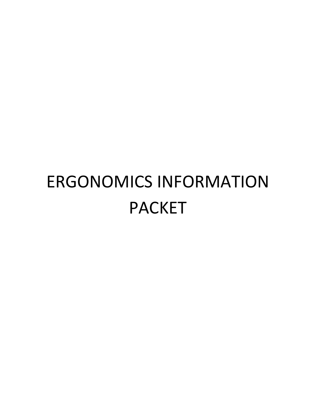# ERGONOMICS INFORMATION PACKET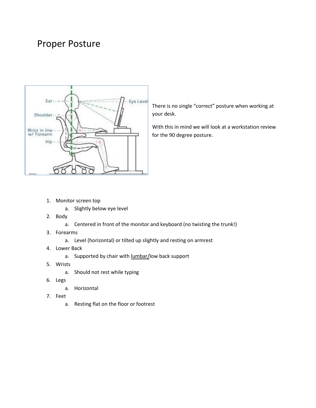### Proper Posture



There is no single "correct" posture when working at your desk.

With this in mind we will look at a workstation review for the 90 degree posture.

- 1. Monitor screen top
	- a. Slightly below eye level
- 2. Body
	- a. Centered in front of the monitor and keyboard (no twisting the trunk!)
- 3. Forearms
	- a. Level (horizontal) or tilted up slightly and resting on armrest
- 4. Lower Back
	- a. Supported by chair with lumbar/low back support
- 5. Wrists
	- a. Should not rest while typing
- 6. Legs
	- a. Horizontal
- 7. Feet
	- a. Resting flat on the floor or footrest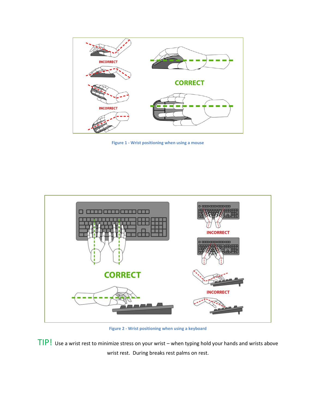

**Figure 1 - Wrist positioning when using a mouse**



**Figure 2 - Wrist positioning when using a keyboard**

TIP! Use a wrist rest to minimize stress on your wrist – when typing hold your hands and wrists above wrist rest. During breaks rest palms on rest.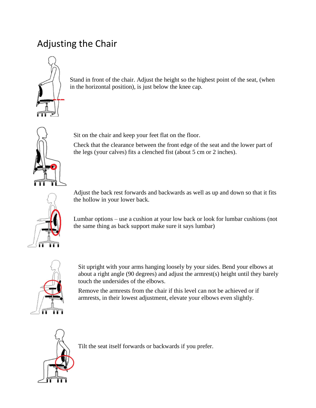## Adjusting the Chair



Stand in front of the chair. Adjust the height so the highest point of the seat, (when in the horizontal position), is just below the knee cap.



Sit on the chair and keep your feet flat on the floor.

Check that the clearance between the front edge of the seat and the lower part of the legs (your calves) fits a clenched fist (about 5 cm or 2 inches).



Adjust the back rest forwards and backwards as well as up and down so that it fits the hollow in your lower back.

Lumbar options – use a cushion at your low back or look for lumbar cushions (not the same thing as back support make sure it says lumbar)



Sit upright with your arms hanging loosely by your sides. Bend your elbows at about a right angle (90 degrees) and adjust the armrest(s) height until they barely touch the undersides of the elbows.

Remove the armrests from the chair if this level can not be achieved or if armrests, in their lowest adjustment, elevate your elbows even slightly.



Tilt the seat itself forwards or backwards if you prefer.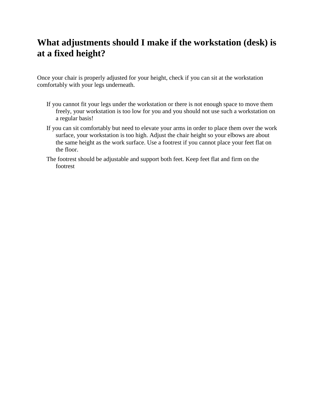#### **What adjustments should I make if the workstation (desk) is at a fixed height?**

Once your chair is properly adjusted for your height, check if you can sit at the workstation comfortably with your legs underneath.

- If you cannot fit your legs under the workstation or there is not enough space to move them freely, your workstation is too low for you and you should not use such a workstation on a regular basis!
- If you can sit comfortably but need to elevate your arms in order to place them over the work surface, your workstation is too high. Adjust the chair height so your elbows are about the same height as the work surface. Use a footrest if you cannot place your feet flat on the floor.
- The footrest should be adjustable and support both feet. Keep feet flat and firm on the footrest